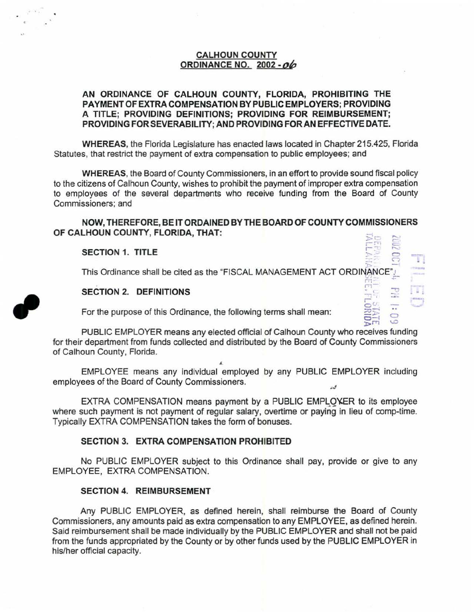# CALHOUN COUNTY ORDINANCE NO. 2002 - *oh*

## AN ORDINANCE OF CALHOUN COUNTY, FLORIDA, PROHIBITING THE PAYMENT OF EXTRA COMPENSATION BY PUBLIC EMPLOYERS; PROVIDING A TITLE; PROVIDING DEFINITIONS; PROVIDING FOR REIMBURSEMENT; PROVIDING FOR SEVERABILITY; AND PROVIDING FOR AN EFFECTIVE DATE.

WHEREAS, the Florida Legislature has enacted laws located in Chapter 215.425, Florida Statutes, that restrict the payment of extra compensation to public employees; and

WHEREAS, the Board of County Commissioners, in an effort to provide sound fiscal policy to the citizens of Calhoun County, wishes to prohibit the payment of improper extra compensation to employees of the several departments who receive funding from the Board of County Commissioners; and

# NOW, THEREFORE, BE IT ORDAINED BY THE BOARD OF COUNTY COMMISSIONERS OF CALHOUN COUNTY, FLORIDA, THAT:

### SECTION 1. TITLE

,

This Ordinance shall be cited as the "FISCAL MANAGEMENT ACT ORDINANCE".' <sup>r</sup>~ .::- . ~1

 $E = E$ 

 $\frac{1}{\sqrt{2}}$ 

 $50$ 

# SECTION 2. DEFINITIONS  $\mathbb{R}^n$

For the purpose of this Ordinance, the following terms shall mean:

PUBLIC EMPLOYER means any elected official of Calhoun County who receives funding for their department from funds collected and distributed by the Board of County Commissioners of Calhoun County, Florida.

EMPLOYEE means any individual employed by any PUBLIC EMPLOYER including employees of the Board of County Commissioners.

*.t.* 

EXTRA COMPENSATION means payment by a PUBLIC EMPLOYER to its employee where such payment is not payment of regular salary, overtime or paying in lieu of comp-time. Typically EXTRA COMPENSATION takes the form of bonuses.

#### SECTION 3. EXTRA COMPENSATION PROHIBITED

No PUBLIC EMPLOYER subject to this Ordinance shall pay, provide or give to any EMPLOYEE, EXTRA COMPENSATION.

## SECTION 4. REIMBURSEMENT

Any PUBLIC EMPLOYER, as defined herein, shall reimburse the Board of County Commissioners, any amounts paid as extra compensation to any EMPLOYEE, as defined herein. Said reimbursement shall be made individually by the PUBLIC EMPLOYER and shall not be paid from the funds appropriated by the County or by other funds used by the PUBLIC EMPLOYER in his/her official capacity.